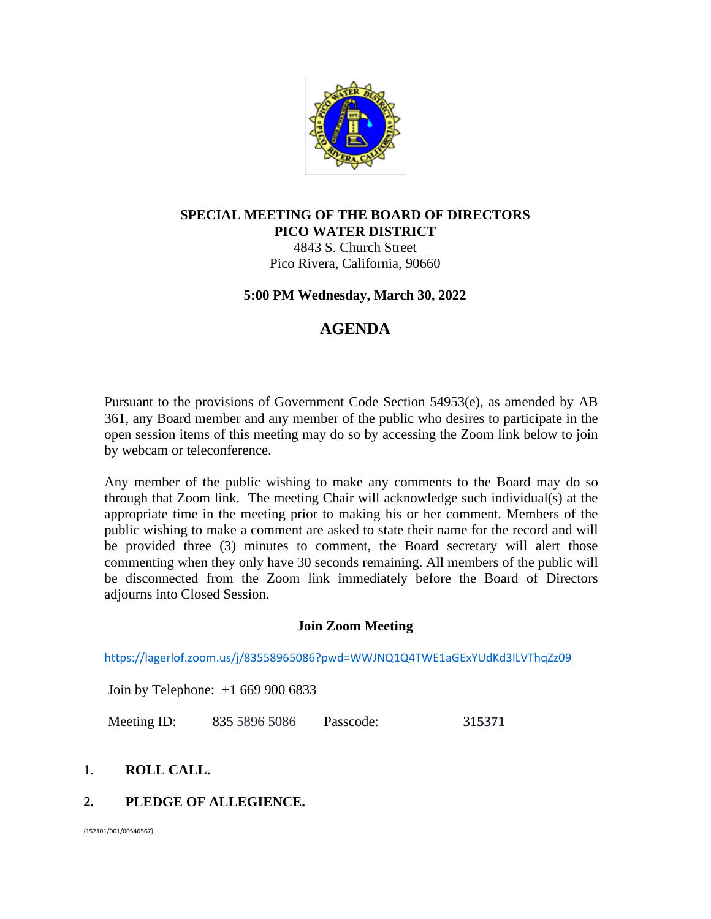

## **SPECIAL MEETING OF THE BOARD OF DIRECTORS PICO WATER DISTRICT**

4843 S. Church Street Pico Rivera, California, 90660

## **5:00 PM Wednesday, March 30, 2022**

# **AGENDA**

Pursuant to the provisions of Government Code Section 54953(e), as amended by AB 361, any Board member and any member of the public who desires to participate in the open session items of this meeting may do so by accessing the Zoom link below to join by webcam or teleconference.

Any member of the public wishing to make any comments to the Board may do so through that Zoom link. The meeting Chair will acknowledge such individual(s) at the appropriate time in the meeting prior to making his or her comment. Members of the public wishing to make a comment are asked to state their name for the record and will be provided three (3) minutes to comment, the Board secretary will alert those commenting when they only have 30 seconds remaining. All members of the public will be disconnected from the Zoom link immediately before the Board of Directors adjourns into Closed Session.

# **Join Zoom Meeting**

<https://lagerlof.zoom.us/j/83558965086?pwd=WWJNQ1Q4TWE1aGExYUdKd3lLVThqZz09>

Join by Telephone: +1 669 900 6833

Meeting ID: 835 5896 5086 Passcode: 31**5371**

# 1. **ROLL CALL.**

# **2. PLEDGE OF ALLEGIENCE.**

{152101/001/00546567}